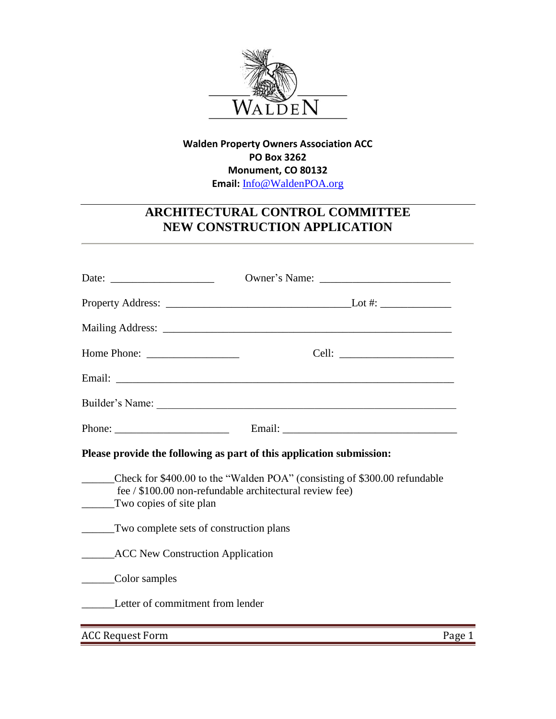

## **Walden Property Owners Association ACC PO Box 3262 Monument, CO 80132 Email:** [Info@WaldenPOA.org](mailto:Info@WaldenPOA.org)

## **ARCHITECTURAL CONTROL COMMITTEE NEW CONSTRUCTION APPLICATION**

| Date: $\qquad \qquad$                                                                                                                                                                                                                                                                                                                                                                            |                                                                                                                                      |
|--------------------------------------------------------------------------------------------------------------------------------------------------------------------------------------------------------------------------------------------------------------------------------------------------------------------------------------------------------------------------------------------------|--------------------------------------------------------------------------------------------------------------------------------------|
|                                                                                                                                                                                                                                                                                                                                                                                                  |                                                                                                                                      |
|                                                                                                                                                                                                                                                                                                                                                                                                  |                                                                                                                                      |
|                                                                                                                                                                                                                                                                                                                                                                                                  |                                                                                                                                      |
|                                                                                                                                                                                                                                                                                                                                                                                                  |                                                                                                                                      |
|                                                                                                                                                                                                                                                                                                                                                                                                  |                                                                                                                                      |
| Phone: $\frac{1}{\sqrt{1-\frac{1}{2}}}\left\{ \frac{1}{2} + \frac{1}{2} + \frac{1}{2} + \frac{1}{2} + \frac{1}{2} + \frac{1}{2} + \frac{1}{2} + \frac{1}{2} + \frac{1}{2} + \frac{1}{2} + \frac{1}{2} + \frac{1}{2} + \frac{1}{2} + \frac{1}{2} + \frac{1}{2} + \frac{1}{2} + \frac{1}{2} + \frac{1}{2} + \frac{1}{2} + \frac{1}{2} + \frac{1}{2} + \frac{1}{2} + \frac{1}{2} + \frac{1}{2} + \$ |                                                                                                                                      |
|                                                                                                                                                                                                                                                                                                                                                                                                  | Please provide the following as part of this application submission:                                                                 |
| Two copies of site plan                                                                                                                                                                                                                                                                                                                                                                          | Check for \$400.00 to the "Walden POA" (consisting of \$300.00 refundable<br>fee / \$100.00 non-refundable architectural review fee) |
| Two complete sets of construction plans                                                                                                                                                                                                                                                                                                                                                          |                                                                                                                                      |
| <b>ACC New Construction Application</b>                                                                                                                                                                                                                                                                                                                                                          |                                                                                                                                      |
| Color samples                                                                                                                                                                                                                                                                                                                                                                                    |                                                                                                                                      |
| Letter of commitment from lender                                                                                                                                                                                                                                                                                                                                                                 |                                                                                                                                      |
| <b>ACC Request Form</b>                                                                                                                                                                                                                                                                                                                                                                          | Page 1                                                                                                                               |